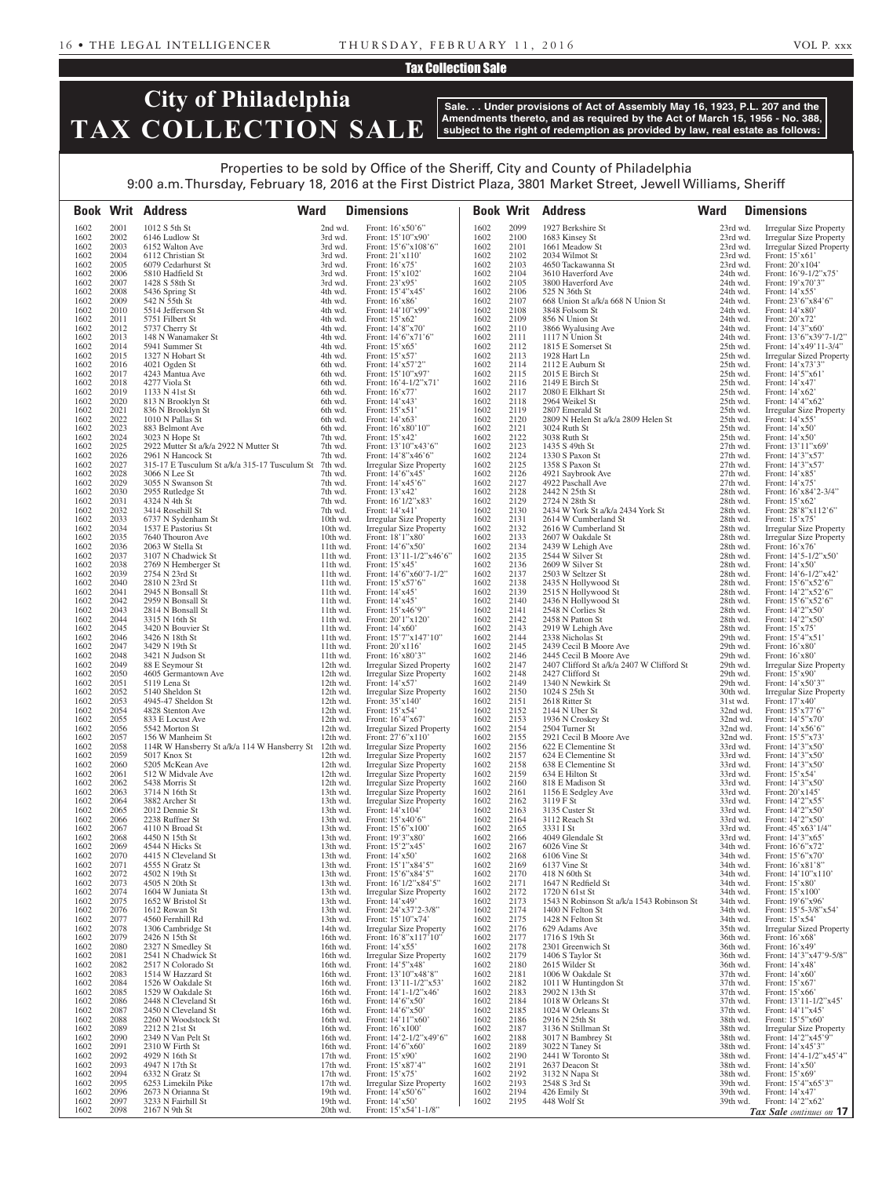#### Tax Collection Sale

# **City of Philadelphia TAX COLLECTION SALE**

**Sale. . . Under provisions of Act of Assembly May 16, 1923, P.L. 207 and the Amendments thereto, and as required by the Act of March 15, 1956 - No. 388, subject to the right of redemption as provided by law, real estate as follows:**

### Properties to be sold by Office of the Sheriff, City and County of Philadelphia 9:00 a.m. Thursday, February 18, 2016 at the First District Plaza, 3801 Market Street, Jewell Williams, Sheriff

|              |              | <b>Ward</b><br><b>Book Writ Address</b>                                    |                        | <b>Dimensions</b>                                                |              |              | <b>Book Writ Address</b>                                            | <b>Ward</b>          | <b>Dimensions</b>                                                 |
|--------------|--------------|----------------------------------------------------------------------------|------------------------|------------------------------------------------------------------|--------------|--------------|---------------------------------------------------------------------|----------------------|-------------------------------------------------------------------|
| 1602         | 2001         | 1012 S 5th St                                                              | 2nd wd.                | Front: 16'x50'6"                                                 | 1602         | 2099         | 1927 Berkshire St                                                   | 23rd wd.             | <b>Irregular Size Property</b>                                    |
| 1602<br>1602 | 2002<br>2003 | 6146 Ludlow St<br>6152 Walton Ave                                          | 3rd wd.<br>3rd wd.     | Front: 15'10"x90"<br>Front: 15'6"x108'6"                         | 1602<br>1602 | 2100<br>2101 | 1683 Kinsey St<br>1661 Meadow St                                    | 23rd wd.<br>23rd wd. | <b>Irregular Size Property</b><br><b>Irregular Sized Property</b> |
| 1602         | 2004         | 6112 Christian St                                                          | 3rd wd.                | Front: 21'x110'                                                  | 1602         | 2102         | 2034 Wilmot St                                                      | 23rd wd.             | Front: $15'x61'$                                                  |
| 1602         | 2005         | 6079 Cedarhurst St                                                         | 3rd wd.                | Front: 16'x75'                                                   | 1602         | 2103         | 4650 Tackawanna St                                                  | 23rd wd.             | Front: 20'x104'                                                   |
| 1602<br>1602 | 2006<br>2007 | 5810 Hadfield St<br>1428 S 58th St                                         | 3rd wd.<br>3rd wd.     | Front: 15'x102'<br>Front: 23'x95'                                | 1602<br>1602 | 2104<br>2105 | 3610 Haverford Ave<br>3800 Haverford Ave                            | 24th wd.<br>24th wd. | Front: $16'9-1/2''x75'$<br>Front: 19'x70'3"                       |
| 1602         | 2008         | 5436 Spring St                                                             | 4th wd.                | Front: 15'4"x45'                                                 | 1602         | 2106         | 525 N 36th St                                                       | 24th wd.             | Front: 14'x55'                                                    |
| 1602         | 2009         | 542 N 55th St                                                              | 4th wd.                | Front: 16'x86'                                                   | 1602         | 2107         | 668 Union St a/k/a 668 N Union St                                   | 24th wd.             | Front: $23'6''x84'6''$                                            |
| 1602<br>1602 | 2010<br>2011 | 5514 Jefferson St<br>5751 Filbert St                                       | 4th wd.<br>4th wd.     | Front: 14'10"x99'<br>Front: 15'x62'                              | 1602<br>1602 | 2108<br>2109 | 3848 Folsom St<br>856 N Union St                                    | 24th wd.<br>24th wd. | Front: 14'x80'<br>Front: 20'x72'                                  |
| 1602         | 2012         | 5737 Cherry St                                                             | 4th wd.                | Front: 14'8"x70"                                                 | 1602         | 2110         | 3866 Wyalusing Ave                                                  | 24th wd.             | Front: 14'3"x60'                                                  |
| 1602         | 2013         | 148 N Wanamaker St                                                         | 4th wd.                | Front: 14'6"x71'6"                                               | 1602         | 2111         | 1117 N Union St                                                     | 24th wd.             | Front: 13'6"x39'7-1/2"                                            |
| 1602<br>1602 | 2014<br>2015 | 5941 Summer St<br>1327 N Hobart St                                         | 4th wd.<br>4th wd.     | Front: $15'x65'$<br>Front: 15'x57'                               | 1602<br>1602 | 2112<br>2113 | 1815 E Somerset St<br>1928 Hart Ln                                  | 25th wd.<br>25th wd. | Front: 14'x49'11-3/4"<br><b>Irregular Sized Property</b>          |
| 1602         | 2016         | 4021 Ogden St                                                              | 6th wd.                | Front: 14'x57'2"                                                 | 1602         | 2114         | 2112 E Auburn St                                                    | 25th wd.             | Front: 14'x73'3"                                                  |
| 1602         | 2017         | 4243 Mantua Ave                                                            | 6th wd.                | Front: 15'10"x97'                                                | 1602         | 2115         | 2015 E Birch St                                                     | 25th wd.             | Front: 14'5"x61'                                                  |
| 1602<br>1602 | 2018<br>2019 | 4277 Viola St<br>1133 N 41st St                                            | 6th wd.<br>6th wd.     | Front: 16'4-1/2"x71'<br>Front: 16'x77'                           | 1602<br>1602 | 2116<br>2117 | 2149 E Birch St<br>2080 E Elkhart St                                | 25th wd.<br>25th wd. | Front: 14'x47'<br>Front: 14'x62'                                  |
| 1602         | 2020         | 813 N Brooklyn St                                                          | 6th wd.                | Front: 14'x43'                                                   | 1602         | 2118         | 2964 Weikel St                                                      | 25th wd.             | Front: 14'4"x62"                                                  |
| 1602         | 2021         | 836 N Brooklyn St                                                          | 6th wd.                | Front: 15'x51'                                                   | 1602         | 2119         | 2807 Emerald St                                                     | 25th wd.             | <b>Irregular Size Property</b>                                    |
| 1602<br>1602 | 2022<br>2023 | 1010 N Pallas St<br>883 Belmont Ave                                        | 6th wd.<br>6th wd.     | Front: 14'x63'<br>Front: 16'x80'10"                              | 1602<br>1602 | 2120<br>2121 | 2809 N Helen St a/k/a 2809 Helen St<br>3024 Ruth St                 | 25th wd.<br>25th wd. | Front: 14'x55'<br>Front: $14'x50'$                                |
| 1602         | 2024         | 3023 N Hope St                                                             | 7th wd.                | Front: 15'x42'                                                   | 1602         | 2122         | 3038 Ruth St                                                        | 25th wd.             | Front: $14'x50'$                                                  |
| 1602         | 2025         | 2922 Mutter St a/k/a 2922 N Mutter St                                      | 7th wd.                | Front: 13'10"x43'6"                                              | 1602         | 2123         | 1435 S 49th St                                                      | $27th$ wd.           | Front: 13'11"x69'                                                 |
| 1602<br>1602 | 2026<br>2027 | 2961 N Hancock St<br>315-17 E Tusculum St a/k/a 315-17 Tusculum St 7th wd. | 7th wd.                | Front: 14'8"x46'6"                                               | 1602<br>1602 | 2124<br>2125 | 1330 S Paxon St<br>1358 S Paxon St                                  | 27th wd.<br>27th wd. | Front: 14'3"x57'                                                  |
| 1602         | 2028         | 3066 N Lee St                                                              | 7th wd.                | <b>Irregular Size Property</b><br>Front: 14'6"x45'               | 1602         | 2126         | 4921 Saybrook Ave                                                   | 27th wd.             | Front: 14'3"x57'<br>Front: 14'x85'                                |
| 1602         | 2029         | 3055 N Swanson St                                                          | 7th wd.                | Front: 14'x45'6"                                                 | 1602         | 2127         | 4922 Paschall Ave                                                   | 27th wd.             | Front: 14'x75'                                                    |
| 1602         | 2030         | 2955 Rutledge St                                                           | 7th wd.                | Front: 13'x42'                                                   | 1602         | 2128         | 2442 N 25th St                                                      | 28th wd.             | Front: 16'x84'2-3/4"                                              |
| 1602<br>1602 | 2031<br>2032 | 4324 N 4th St<br>3414 Rosehill St                                          | 7th wd.<br>7th wd.     | Front: 16'1/2"x83'<br>Front: 14'x41'                             | 1602<br>1602 | 2129<br>2130 | 2724 N 28th St<br>2434 W York St a/k/a 2434 York St                 | 28th wd.<br>28th wd. | Front: 15'x62'<br>Front: 28'8"x112'6"                             |
| 1602         | 2033         | 6737 N Sydenham St                                                         | 10th wd.               | Irregular Size Property                                          | 1602         | 2131         | 2614 W Cumberland St                                                | 28th wd.             | Front: 15'x75'                                                    |
| 1602         | 2034         | 1537 E Pastorius St                                                        | 10th wd.               | <b>Irregular Size Property</b>                                   | 1602         | 2132         | 2616 W Cumberland St                                                | 28th wd.             | <b>Irregular Size Property</b>                                    |
| 1602<br>1602 | 2035<br>2036 | 7640 Thouron Ave<br>2063 W Stella St                                       | 10th wd.<br>11th wd.   | Front: 18'1"x80'<br>Front: $14'6''x50'$                          | 1602<br>1602 | 2133<br>2134 | 2607 W Oakdale St<br>2439 W Lehigh Ave                              | 28th wd.<br>28th wd. | <b>Irregular Size Property</b><br>Front: $16'x76'$                |
| 1602         | 2037         | 3107 N Chadwick St                                                         | 11th wd.               | Front: $13'11-1/2''x46'6''$                                      | 1602         | 2135         | 2544 W Silver St                                                    | 28th wd.             | Front: $14'5-1/2''x50'$                                           |
| 1602         | 2038         | 2769 N Hemberger St                                                        | 11th wd.               | Front: 15'x45'                                                   | 1602         | 2136         | 2609 W Silver St                                                    | 28th wd.             | Front: 14'x50'                                                    |
| 1602<br>1602 | 2039<br>2040 | 2754 N 23rd St                                                             | $11th$ wd.             | Front: $14'6''x60'7-1/2"$<br>Front: 15'x57'6"                    | 1602<br>1602 | 2137<br>2138 | 2503 W Seltzer St                                                   | 28th wd.             | Front: $14'6 - 1/2''x + 42'$<br>Front: 15'6"x52'6"                |
| 1602         | 2041         | 2810 N 23rd St<br>2945 N Bonsall St                                        | 11th wd.<br>11th wd.   | Front: $14'x45'$                                                 | 1602         | 2139         | 2435 N Hollywood St<br>2515 N Hollywood St                          | 28th wd.<br>28th wd. | Front: 14'2"x52'6"                                                |
| 1602         | 2042         | 2959 N Bonsall St                                                          | 11th wd.               | Front: 14'x45'                                                   | 1602         | 2140         | 2436 N Hollywood St                                                 | 28th wd.             | Front: 15'6"x52'6"                                                |
| 1602         | 2043         | 2814 N Bonsall St                                                          | 11th wd.               | Front: 15'x46'9"                                                 | 1602         | 2141         | 2548 N Corlies St                                                   | 28th wd.             | Front: 14'2"x50'                                                  |
| 1602<br>1602 | 2044<br>2045 | 3315 N 16th St<br>3420 N Bouvier St                                        | 11th wd.<br>11th wd.   | Front: 20'1"x120'<br>Front: 14'x60'                              | 1602<br>1602 | 2142<br>2143 | 2458 N Patton St<br>2919 W Lehigh Ave                               | 28th wd.<br>28th wd. | Front: 14'2"x50'<br>Front: 15'x75'                                |
| 1602         | 2046         | 3426 N 18th St                                                             | $11th$ wd.             | Front: 15'7"x147'10"                                             | 1602         | 2144         | 2338 Nicholas St                                                    | 29th wd.             | Front: 15'4"x51'                                                  |
| 1602         | 2047         | 3429 N 19th St                                                             | 11th wd.               | Front: 20'x116'                                                  | 1602         | 2145         | 2439 Cecil B Moore Ave                                              | 29th wd.             | Front: 16'x80'                                                    |
| 1602<br>1602 | 2048<br>2049 | 3421 N Judson St<br>88 E Seymour St                                        | $11th$ wd.<br>12th wd. | Front: 16'x80'3"<br>Irregular Sized Property                     | 1602<br>1602 | 2146<br>2147 | 2445 Cecil B Moore Ave<br>2407 Clifford St a/k/a 2407 W Clifford St | 29th wd.<br>29th wd. | Front: $16'x80'$<br><b>Irregular Size Property</b>                |
| 1602         | 2050         | 4605 Germantown Ave                                                        | 12th wd.               | Irregular Size Property                                          | 1602         | 2148         | 2427 Clifford St                                                    | 29th wd.             | Front: 15'x90'                                                    |
| 1602         | 2051         | 5119 Lena St                                                               | 12th wd.               | Front: 14'x57'                                                   | 1602         | 2149         | 1340 N Newkirk St                                                   | 29th wd.             | Front: $14'x50'3"$                                                |
| 1602<br>1602 | 2052<br>2053 | 5140 Sheldon St<br>4945-47 Sheldon St                                      | 12th wd.<br>12th wd.   | <b>Irregular Size Property</b><br>Front: $35'x140'$              | 1602<br>1602 | 2150<br>2151 | 1024 S 25th St<br>2618 Ritter St                                    | 30th wd.<br>31st wd. | <b>Irregular Size Property</b><br>Front: 17'x40'                  |
| 1602         | 2054         | 4828 Stenton Ave                                                           | 12th wd.               | Front: 15'x54'                                                   | 1602         | 2152         | 2144 N Uber St                                                      | 32nd wd.             | Front: 15'x77'6"                                                  |
| 1602         | 2055         | 833 E Locust Ave                                                           | 12th wd.               | Front: 16'4"x67'                                                 | 1602         | 2153         | 1936 N Croskey St                                                   | $32nd$ wd.           | Front: 14'5"x70"                                                  |
| 1602<br>1602 | 2056<br>2057 | 5542 Morton St<br>156 W Manheim St                                         | 12th wd.<br>12th wd.   | <b>Irregular Sized Property</b><br>Front: 27'6"x110"             | 1602<br>1602 | 2154<br>2155 | 2504 Turner St<br>2921 Cecil B Moore Ave                            | 32nd wd.<br>32nd wd. | Front: $14' \times 56'$ 6"<br>Front: 15'5"x73'                    |
| 1602         | 2058         | 114R W Hansberry St a/k/a 114 W Hansberry St 12th wd.                      |                        | <b>Irregular Size Property</b>                                   | 1602         | 2156         | 622 E Clementine St                                                 | 33rd wd.             | Front: 14'3"x50'                                                  |
| 1602         | 2059         | 5017 Knox St                                                               | 12th wd.               | <b>Irregular Size Property</b>                                   | 1602         | 2157         | 624 E Clementine St                                                 | 33rd wd.             | Front: 14'3"x50"                                                  |
| 1602<br>1602 | 2060<br>2061 | 5205 McKean Ave<br>512 W Midvale Ave                                       | 12th wd.<br>12th wd.   | <b>Irregular Size Property</b><br><b>Irregular Size Property</b> | 1602<br>1602 | 2158<br>2159 | 638 E Clementine St<br>634 E Hilton St                              | 33rd wd.<br>33rd wd. | Front: 14'3"x50"<br>Front: 15'x54'                                |
| 1602         | 2062         | 5438 Morris St                                                             | 12th wd.               | <b>Irregular Size Property</b>                                   | 1602         | 2160         | 818 E Madison St                                                    | 33rd wd.             | Front: 14'3"x50'                                                  |
| 1602         | 2063         | 3714 N 16th St                                                             | 13th wd.               | <b>Irregular Size Property</b>                                   | 1602         | 2161         | 1156 E Sedgley Ave                                                  | 33rd wd.             | Front: 20'x145'                                                   |
| 1602<br>1602 | 2064<br>2065 | 3882 Archer St<br>2012 Dennie St                                           | 13th wd.<br>13th wd.   | <b>Irregular Size Property</b><br>Front: 14'x104'                | 1602<br>1602 | 2162<br>2163 | 3119 F St<br>3135 Custer St                                         | 33rd wd.<br>33rd wd. | Front: 14'2"x55'<br>Front: 14'2"x50'                              |
| 1602         | 2066         | 2238 Ruffner St                                                            | 13th wd.               | Front: 15'x40'6"                                                 | 1602         | 2164         | 3112 Reach St                                                       | 33rd wd.             | Front: 14'2"x50'                                                  |
| 1602         | 2067         | 4110 N Broad St                                                            | 13th wd.               | Front: $15'6''x100'$                                             | 1602         | 2165         | 3331 I St                                                           | 33rd wd.             | Front: 45'x63'1/4"                                                |
| 1602<br>1602 | 2068<br>2069 | 4450 N 15th St<br>4544 N Hicks St                                          | 13th wd.<br>13th wd.   | Front: 19'3"x80'<br>Front: 15'2"x45'                             | 1602<br>1602 | 2166<br>2167 | 4049 Glendale St<br>6026 Vine St                                    | 33rd wd.<br>34th wd. | Front: 14'3"x65'<br>Front: 16'6"x72'                              |
| 1602         | 2070         | 4415 N Cleveland St                                                        | 13th wd.               | Front: 14'x50'                                                   | 1602         | 2168         | 6106 Vine St                                                        | 34th wd.             | Front: 15'6"x70"                                                  |
| 1602         | 2071         | 4555 N Gratz St                                                            | 13th wd.               | Front: 15'1"x84'5"                                               | 1602         | 2169         | 6137 Vine St                                                        | 34th wd.             | Front: 16'x81'8"                                                  |
| 1602<br>1602 | 2072<br>2073 | 4502 N 19th St<br>4505 N 20th St                                           | 13th wd.<br>13th wd.   | Front: 15'6"x84'5"<br>Front: 16'1/2"x84'5"                       | 1602<br>1602 | 2170<br>2171 | 418 N 60th St<br>1647 N Redfield St                                 | 34th wd.<br>34th wd. | Front: 14'10"x110"<br>Front: 15'x80'                              |
| 1602         | 2074         | 1604 W Juniata St                                                          | 13th wd.               | <b>Irregular Size Property</b>                                   | 1602         | 2172         | 1720 N 61st St                                                      | 34th wd.             | Front: 15'x100'                                                   |
| 1602         | 2075         | 1652 W Bristol St                                                          | 13th wd.               | Front: 14'x49'                                                   | 1602         | 2173         | 1543 N Robinson St a/k/a 1543 Robinson St                           | 34th wd.             | Front: 19'6"x96"                                                  |
| 1602<br>1602 | 2076<br>2077 | 1612 Rowan St                                                              | 13th wd.               | Front: 24'x37'2-3/8"<br>Front: 15'10"x74'                        | 1602<br>1602 | 2174<br>2175 | 1400 N Felton St<br>1428 N Felton St                                | 34th wd.             | Front: 15'5-3/8"x54'                                              |
| 1602         | 2078         | 4560 Fernhill Rd<br>1306 Cambridge St                                      | 13th wd.<br>14th wd.   | <b>Irregular Size Property</b>                                   | 1602         | 2176         | 629 Adams Ave                                                       | 34th wd.<br>35th wd. | Front: $15^\circ x54'$<br><b>Irregular Sized Property</b>         |
| 1602         | 2079         | 2426 N 15th St                                                             | 16th wd.               | Front: 16'8"x117'10"                                             | 1602         | 2177         | 1716 S 19th St                                                      | 36th wd.             | Front: 16'x68'                                                    |
| 1602         | 2080         | 2327 N Smedley St                                                          | 16th wd.               | Front: 14'x55'                                                   | 1602         | 2178         | 2301 Greenwich St                                                   | 36th wd.             | Front: 16'x49'                                                    |
| 1602<br>1602 | 2081<br>2082 | 2541 N Chadwick St<br>2517 N Colorado St                                   | 16th wd.<br>16th wd.   | <b>Irregular Size Property</b><br>Front: 14'5"x48'               | 1602<br>1602 | 2179<br>2180 | 1406 S Taylor St<br>2615 Wilder St                                  | 36th wd.<br>36th wd. | Front: 14'3"x47'9-5/8"<br>Front: 14'x48'                          |
| 1602         | 2083         | 1514 W Hazzard St                                                          | 16th wd.               | Front: 13'10"x48'8"                                              | 1602         | 2181         | 1006 W Oakdale St                                                   | 37th wd.             | Front: $14'x60'$                                                  |
| 1602         | 2084         | 1526 W Oakdale St                                                          | 16th wd.               | Front: 13'11-1/2"x53'                                            | 1602         | 2182         | 1011 W Huntingdon St                                                | 37th wd.             | Front: 15'x67'                                                    |
| 1602<br>1602 | 2085<br>2086 | 1529 W Oakdale St<br>2448 N Cleveland St                                   | 16th wd.<br>16th wd.   | Front: $14'1-1/2''x46'$<br>Front: 14'6"x50'                      | 1602<br>1602 | 2183<br>2184 | 2902 N 13th St<br>1018 W Orleans St                                 | 37th wd.<br>37th wd. | Front: $15'x66'$<br>Front: $13'11-1/2''x45'$                      |
| 1602         | 2087         | 2450 N Cleveland St                                                        | 16th wd.               | Front: 14'6"x50"                                                 | 1602         | 2185         | 1024 W Orleans St                                                   | 37th wd.             | Front: 14'1"x45'                                                  |
| 1602         | 2088         | 2260 N Woodstock St                                                        | 16th wd.               | Front: 14'11"x60'                                                | 1602         | 2186         | 2916 N 25th St                                                      | 38th wd.             | Front: 15'5"x60"                                                  |
| 1602<br>1602 | 2089<br>2090 | 2212 N 21st St<br>2349 N Van Pelt St                                       | 16th wd.<br>16th wd.   | Front: 16'x100'<br>Front: 14'2-1/2"x49'6"                        | 1602<br>1602 | 2187<br>2188 | 3136 N Stillman St<br>3017 N Bambrey St                             | 38th wd.<br>38th wd. | <b>Irregular Size Property</b><br>Front: 14'2"x45'9"              |
| 1602         | 2091         | 2310 W Firth St                                                            | 16th wd.               | Front: 14'6"x60"                                                 | 1602         | 2189         | 3022 N Taney St                                                     | 38th wd.             | Front: 14'x45'3"                                                  |
| 1602         | 2092         | 4929 N 16th St                                                             | 17th wd.               | Front: 15'x90'                                                   | 1602         | 2190         | 2441 W Toronto St                                                   | 38th wd.             | Front: 14'4-1/2"x45'4"                                            |
| 1602<br>1602 | 2093<br>2094 | 4947 N 17th St<br>6332 N Gratz St                                          | 17th wd.<br>17th wd.   | Front: 15'x87'4"<br>Front: 15'x75'                               | 1602<br>1602 | 2191<br>2192 | 2637 Deacon St<br>3132 N Napa St                                    | 38th wd.<br>38th wd. | Front: 14'x50'<br>Front: $15'x69'$                                |
| 1602         | 2095         | 6253 Limekiln Pike                                                         | 17th wd.               | <b>Irregular Size Property</b>                                   | 1602         | 2193         | 2548 S 3rd St                                                       | 39th wd.             | Front: 15'4"x65'3"                                                |
| 1602         | 2096         | 2673 N Orianna St                                                          | 19th wd.               | Front: 14'x50'6"                                                 | 1602         | 2194         | 426 Emily St                                                        | 39th wd.             | Front: 14'x47'                                                    |
| 1602<br>1602 | 2097<br>2098 | 3233 N Fairhill St<br>2167 N 9th St                                        | 19th wd.<br>20th wd.   | Front: 14'x50'<br>Front: 15'x54'1-1/8"                           | 1602         | 2195         | 448 Wolf St                                                         | 39th wd.             | Front: 14'2"x62'                                                  |
|              |              |                                                                            |                        |                                                                  |              |              |                                                                     |                      | Tax Sale continues on 17                                          |